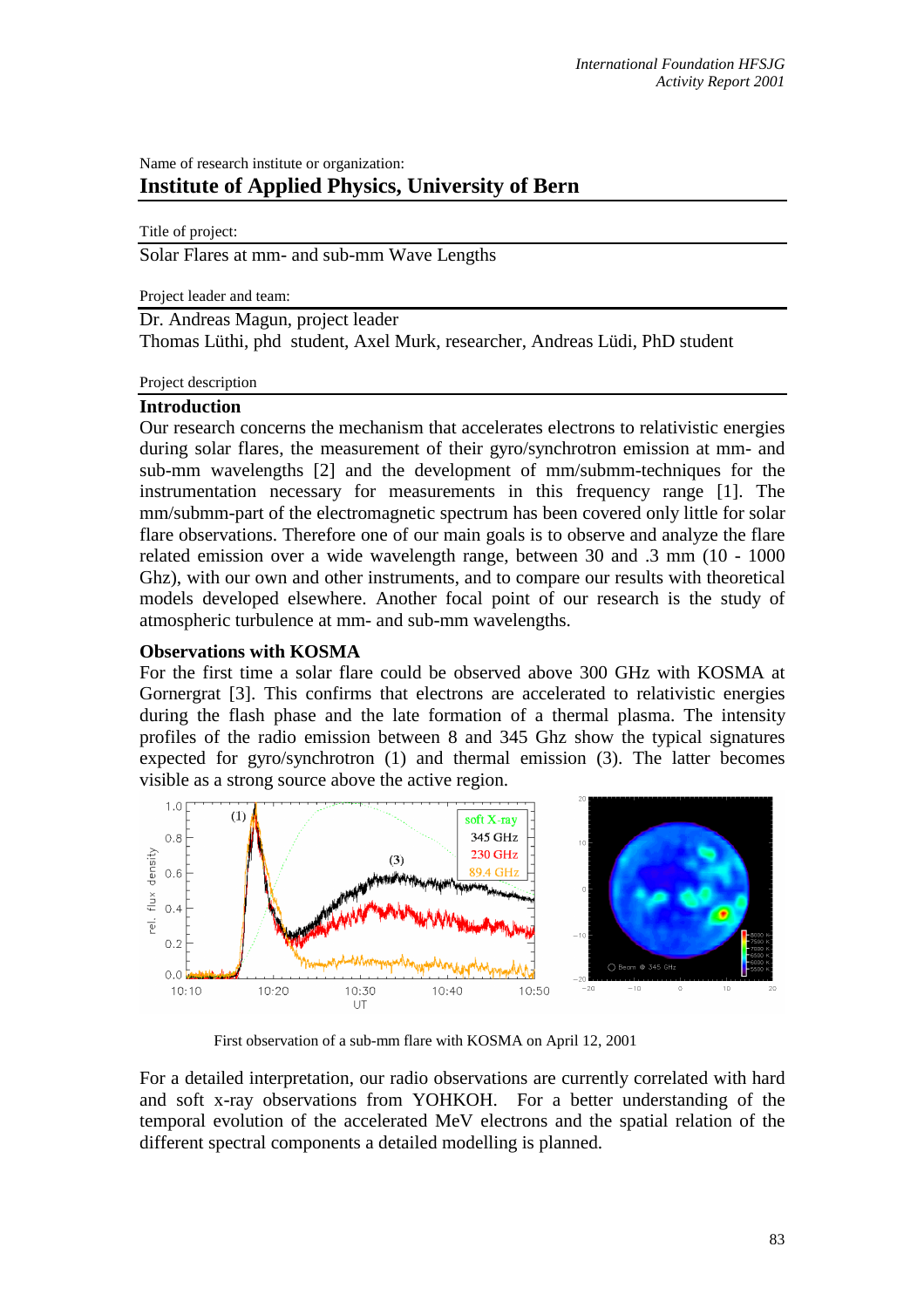## Name of research institute or organization: **Institute of Applied Physics, University of Bern**

Title of project: Solar Flares at mm- and sub-mm Wave Lengths

Project leader and team:

Dr. Andreas Magun, project leader

Thomas Lüthi, phd student, Axel Murk, researcher, Andreas Lüdi, PhD student

Project description

## **Introduction**

Our research concerns the mechanism that accelerates electrons to relativistic energies during solar flares, the measurement of their gyro/synchrotron emission at mm- and sub-mm wavelengths [2] and the development of mm/submm-techniques for the instrumentation necessary for measurements in this frequency range [1]. The mm/submm-part of the electromagnetic spectrum has been covered only little for solar flare observations. Therefore one of our main goals is to observe and analyze the flare related emission over a wide wavelength range, between 30 and .3 mm (10 - 1000 Ghz), with our own and other instruments, and to compare our results with theoretical models developed elsewhere. Another focal point of our research is the study of atmospheric turbulence at mm- and sub-mm wavelengths.

## **Observations with KOSMA**

For the first time a solar flare could be observed above 300 GHz with KOSMA at Gornergrat [3]. This confirms that electrons are accelerated to relativistic energies during the flash phase and the late formation of a thermal plasma. The intensity profiles of the radio emission between 8 and 345 Ghz show the typical signatures expected for gyro/synchrotron (1) and thermal emission (3). The latter becomes visible as a strong source above the active region.



First observation of a sub-mm flare with KOSMA on April 12, 2001

For a detailed interpretation, our radio observations are currently correlated with hard and soft x-ray observations from YOHKOH. For a better understanding of the temporal evolution of the accelerated MeV electrons and the spatial relation of the different spectral components a detailed modelling is planned.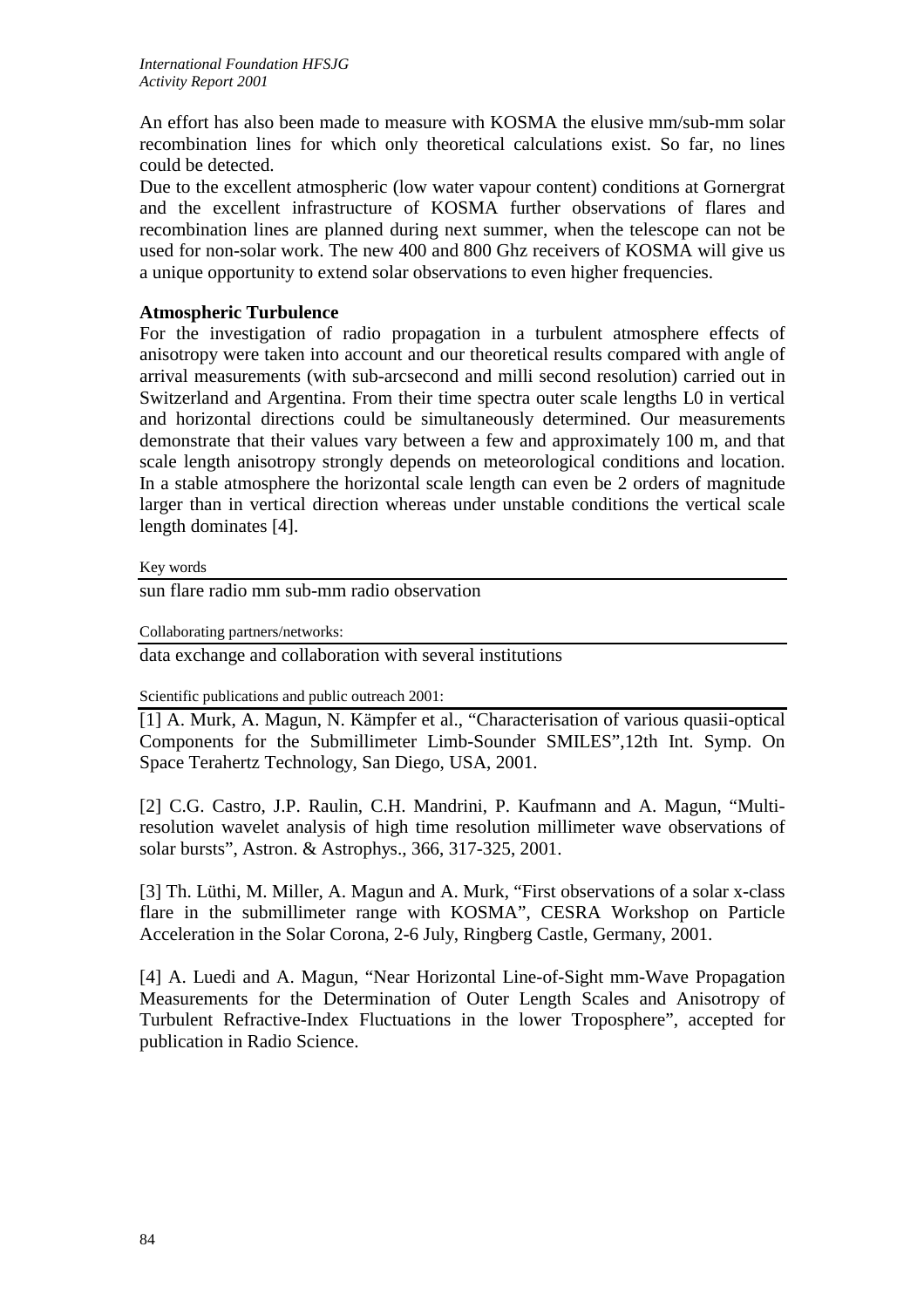An effort has also been made to measure with KOSMA the elusive mm/sub-mm solar recombination lines for which only theoretical calculations exist. So far, no lines could be detected.

Due to the excellent atmospheric (low water vapour content) conditions at Gornergrat and the excellent infrastructure of KOSMA further observations of flares and recombination lines are planned during next summer, when the telescope can not be used for non-solar work. The new 400 and 800 Ghz receivers of KOSMA will give us a unique opportunity to extend solar observations to even higher frequencies.

## **Atmospheric Turbulence**

For the investigation of radio propagation in a turbulent atmosphere effects of anisotropy were taken into account and our theoretical results compared with angle of arrival measurements (with sub-arcsecond and milli second resolution) carried out in Switzerland and Argentina. From their time spectra outer scale lengths L0 in vertical and horizontal directions could be simultaneously determined. Our measurements demonstrate that their values vary between a few and approximately 100 m, and that scale length anisotropy strongly depends on meteorological conditions and location. In a stable atmosphere the horizontal scale length can even be 2 orders of magnitude larger than in vertical direction whereas under unstable conditions the vertical scale length dominates [4].

Key words

sun flare radio mm sub-mm radio observation

Collaborating partners/networks:

data exchange and collaboration with several institutions

Scientific publications and public outreach 2001:

[1] A. Murk, A. Magun, N. Kämpfer et al., "Characterisation of various quasii-optical Components for the Submillimeter Limb-Sounder SMILES",12th Int. Symp. On Space Terahertz Technology, San Diego, USA, 2001.

[2] C.G. Castro, J.P. Raulin, C.H. Mandrini, P. Kaufmann and A. Magun, "Multiresolution wavelet analysis of high time resolution millimeter wave observations of solar bursts", Astron. & Astrophys., 366, 317-325, 2001.

[3] Th. Lüthi, M. Miller, A. Magun and A. Murk, "First observations of a solar x-class flare in the submillimeter range with KOSMA", CESRA Workshop on Particle Acceleration in the Solar Corona, 2-6 July, Ringberg Castle, Germany, 2001.

[4] A. Luedi and A. Magun, "Near Horizontal Line-of-Sight mm-Wave Propagation Measurements for the Determination of Outer Length Scales and Anisotropy of Turbulent Refractive-Index Fluctuations in the lower Troposphere", accepted for publication in Radio Science.